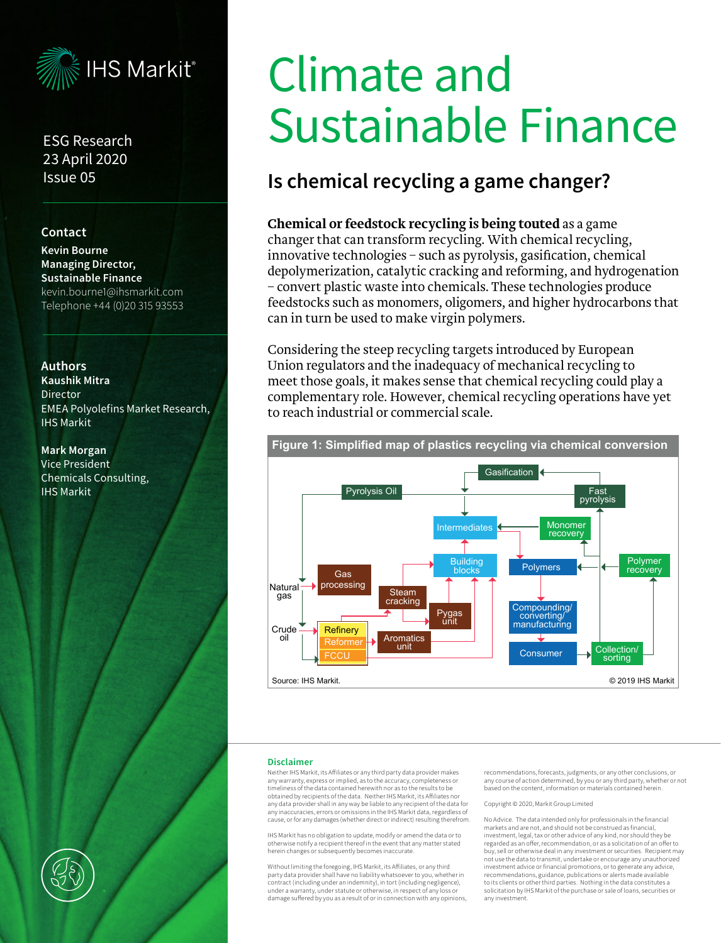

## ESG Research 23 April 2020 Issue 05

## **Contact**

**Kevin Bourne Managing Director, Sustainable Finance** kevin.bourne1@ihsmarkit.com Telephone +44 (0)20 315 93553

### **Authors**

**Kaushik Mitra**  Director EMEA Polyolefins Market Research, IHS Markit

#### **Mark Morgan**

Vice President Chemicals Consulting, IHS Markit

#### used to make virgin polymers. Considering the steep recycling targets introduced  $\mathbf{E}$  en union regulators and the inadequacy of  $\mathbf{E}$ mechanical recycling to meet those goals, it makes sahia Lingna mentary role. However, chemical recycling operations are the chemical recycling operations are the chemical rec  $\mathbf{E}$  $\mathbf{C}$ Climate and Sustainable Finance

## **Is chemical recycling a game changer?** Cost and complexity are major negative factors: a

## Chemical or feedstock recycling is being touted as a game changer that can transform recycling. With chemical recycling, innovative technologies – such as pyrolysis, gasification, chemical depolymerization, catalytic cracking and reforming, and hydrogenation – convert plastic waste into chemicals. These technologies produce feedstocks such as monomers, oligomers, and higher hydrocarbons that can in turn be used to make virgin polymers.

Considering the steep recycling targets introduced by European Union regulators and the inadequacy of mechanical recycling to emon regaractive and the madequaty or methamed recycling could play a meet those goals, it makes sense that chemical recycling could play a meet those goals, it makes sense that entimear recycling code play a<br>complementary role. However, chemical recycling operations have yet to reach industrial or commercial scale. establishing chemical recycling operations have yet

 $\overline{v}$  at equal purely at each purely set equal purely set of  $\overline{v}$  at each purely set of  $\overline{v}$  at  $\overline{v}$ 



**Figure 1: Simplified map of plastics recycling via chemical conversion**

#### **Disclaimer**

Neither IHS Markit, its Affiliates or any third party data provider makes any warranty, express or implied, as to the accuracy, completeness or timeliness of the data contained herewith nor as to the results to be obtained by recipients of the data. Neither IHS Markit, its Affiliates no any data provider shall in any way be liable to any recipient of the data for any inaccuracies, errors or omissions in the IHS Markit data, regardless of cause, or for any damages (whether direct or indirect) resulting therefrom.

IHS Markit has no obligation to update, modify or amend the data or to otherwise notify a recipient thereof in the event that any matter stated herein changes or subsequently becomes inaccurate.

Without limiting the foregoing, IHS Markit, its Affiliates, or any third party data provider shall have no liability whatsoever to you, whether in contract (including under an indemnity), in tort (including negligence), under a warranty, under statute or otherwise, in respect of any loss or damage suffered by you as a result of or in connection with any opinions,

recommendations, forecasts, judgments, or any other conclusions, or any course of action determined, by you or any third party, whether or not based on the content, information or materials contained herein.

Copyright © 2020, Markit Group Limited

No Advice. The data intended only for professionals in the financial markets and are not, and should not be construed as financial, investment, legal, tax or other advice of any kind, nor should they be regarded as an offer, recommendation, or as a solicitation of an offer to buy, sell or otherwise deal in any investment or securities. Recipient may not use the data to transmit, undertake or encourage any unauthorized investment advice or financial promotions, or to generate any advice, recommendations, guidance, publications or alerts made available to its clients or other third parties. Nothing in the data constitutes a solicitation by IHS Markit of the purchase or sale of loans, securities or any investment.

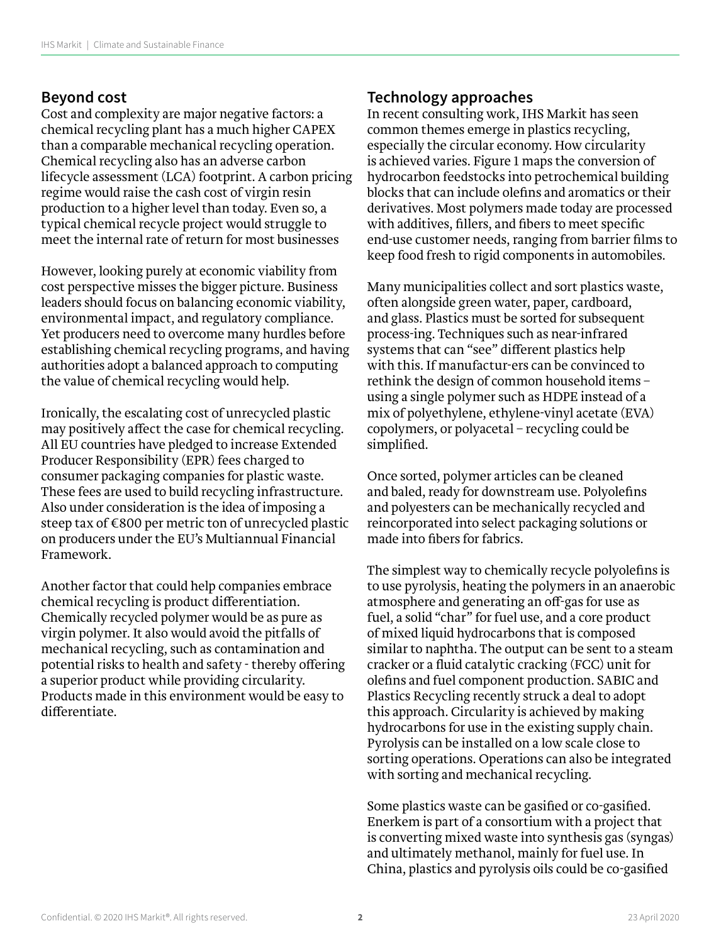## **Beyond cost**

Cost and complexity are major negative factors: a chemical recycling plant has a much higher CAPEX than a comparable mechanical recycling operation. Chemical recycling also has an adverse carbon lifecycle assessment (LCA) footprint. A carbon pricing regime would raise the cash cost of virgin resin production to a higher level than today. Even so, a typical chemical recycle project would struggle to meet the internal rate of return for most businesses

However, looking purely at economic viability from cost perspective misses the bigger picture. Business leaders should focus on balancing economic viability, environmental impact, and regulatory compliance. Yet producers need to overcome many hurdles before establishing chemical recycling programs, and having authorities adopt a balanced approach to computing the value of chemical recycling would help.

Ironically, the escalating cost of unrecycled plastic may positively affect the case for chemical recycling. All EU countries have pledged to increase Extended Producer Responsibility (EPR) fees charged to consumer packaging companies for plastic waste. These fees are used to build recycling infrastructure. Also under consideration is the idea of imposing a steep tax of €800 per metric ton of unrecycled plastic on producers under the EU's Multiannual Financial Framework.

Another factor that could help companies embrace chemical recycling is product differentiation. Chemically recycled polymer would be as pure as virgin polymer. It also would avoid the pitfalls of mechanical recycling, such as contamination and potential risks to health and safety - thereby offering a superior product while providing circularity. Products made in this environment would be easy to differentiate.

# **Technology approaches**

In recent consulting work, IHS Markit has seen common themes emerge in plastics recycling, especially the circular economy. How circularity is achieved varies. Figure 1 maps the conversion of hydrocarbon feedstocks into petrochemical building blocks that can include olefins and aromatics or their derivatives. Most polymers made today are processed with additives, fillers, and fibers to meet specific end-use customer needs, ranging from barrier films to keep food fresh to rigid components in automobiles.

Many municipalities collect and sort plastics waste, often alongside green water, paper, cardboard, and glass. Plastics must be sorted for subsequent process-ing. Techniques such as near-infrared systems that can "see" different plastics help with this. If manufactur-ers can be convinced to rethink the design of common household items – using a single polymer such as HDPE instead of a mix of polyethylene, ethylene-vinyl acetate (EVA) copolymers, or polyacetal – recycling could be simplified.

Once sorted, polymer articles can be cleaned and baled, ready for downstream use. Polyolefins and polyesters can be mechanically recycled and reincorporated into select packaging solutions or made into fibers for fabrics.

The simplest way to chemically recycle polyolefins is to use pyrolysis, heating the polymers in an anaerobic atmosphere and generating an off-gas for use as fuel, a solid "char" for fuel use, and a core product of mixed liquid hydrocarbons that is composed similar to naphtha. The output can be sent to a steam cracker or a fluid catalytic cracking (FCC) unit for olefins and fuel component production. SABIC and Plastics Recycling recently struck a deal to adopt this approach. Circularity is achieved by making hydrocarbons for use in the existing supply chain. Pyrolysis can be installed on a low scale close to sorting operations. Operations can also be integrated with sorting and mechanical recycling.

Some plastics waste can be gasified or co-gasified. Enerkem is part of a consortium with a project that is converting mixed waste into synthesis gas (syngas) and ultimately methanol, mainly for fuel use. In China, plastics and pyrolysis oils could be co-gasified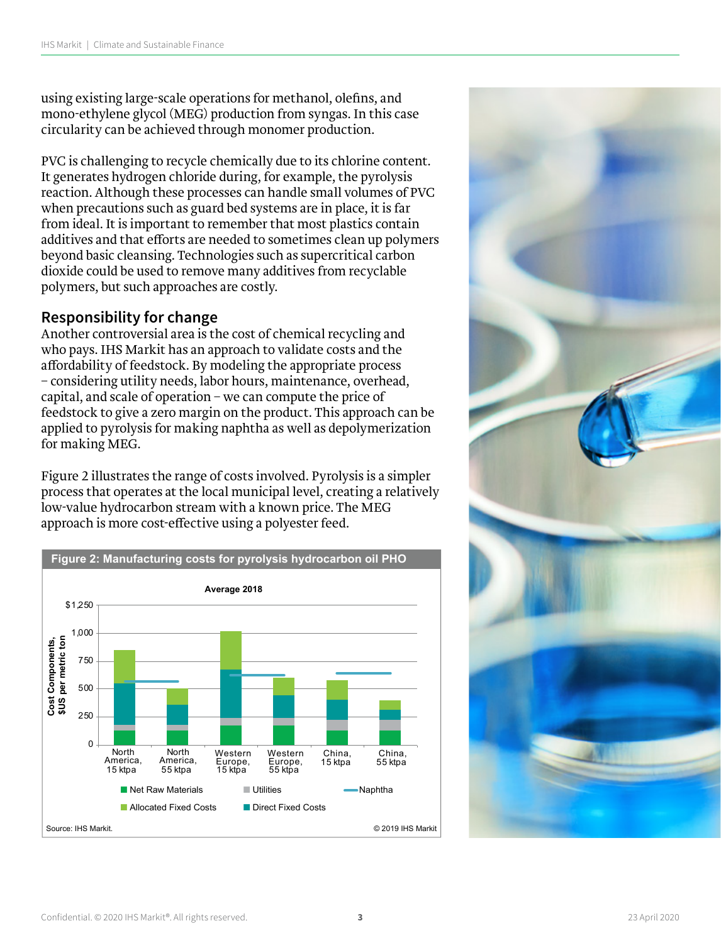using existing large-scale operations for methanol, olefins, and mono-ethylene glycol (MEG) production from syngas. In this case circularity can be achieved through monomer production.

PVC is challenging to recycle chemically due to its chlorine content. It generates hydrogen chloride during, for example, the pyrolysis reaction. Although these processes can handle small volumes of PVC when precautions such as guard bed systems are in place, it is far from ideal. It is important to remember that most plastics contain additives and that efforts are needed to sometimes clean up polymers beyond basic cleansing. Technologies such as supercritical carbon dioxide could be used to remove many additives from recyclable polymers, but such approaches are costly.

## **Responsibility for change**

Another controversial area is the cost of chemical recycling and **Base chemicals Feature**  | **Insights**  who pays. IHS Markit has an approach to validate costs and the affordability of feedstock. By modeling the appropriate process – considering utility needs, labor hours, maintenance, overhead, capital, and scale of operation – we can compute the price of feedstock to give a zero margin on the product. This approach can be **The Global Polyurethane Feedstocks Market Advisory Service provides**  applied to pyrolysis for making naphtha as well as depolymerization for making MEG.

Figure 2 illustrates the range of costs involved. Pyrolysis is a simpler **rights 2 mastraces the large of costs involved.** *profysis* **is a simpler process that operates at the local municipal level, creating a relatively** .<br>low-value hydrocarbon stream with a known price. The MEG approach is more cost-effective using a polyester feed.



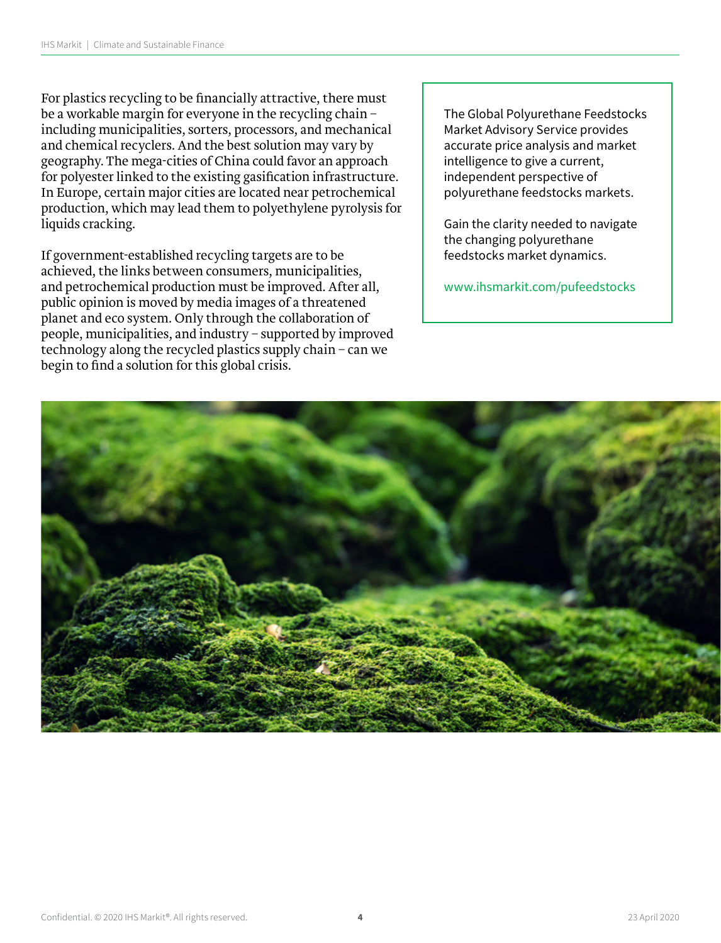For plastics recycling to be financially attractive, there must be a workable margin for everyone in the recycling chain – including municipalities, sorters, processors, and mechanical and chemical recyclers. And the best solution may vary by geography. The mega-cities of China could favor an approach for polyester linked to the existing gasification infrastructure. In Europe, certain major cities are located near petrochemical production, which may lead them to polyethylene pyrolysis for liquids cracking.

If government-established recycling targets are to be achieved, the links between consumers, municipalities, and petrochemical production must be improved. After all, public opinion is moved by media images of a threatened planet and eco system. Only through the collaboration of people, municipalities, and industry – supported by improved technology along the recycled plastics supply chain – can we begin to find a solution for this global crisis.

The Global Polyurethane Feedstocks Market Advisory Service provides accurate price analysis and market intelligence to give a current, independent perspective of polyurethane feedstocks markets.

Gain the clarity needed to navigate the changing polyurethane feedstocks market dynamics.

www.ihsmarkit.com/pufeedstocks